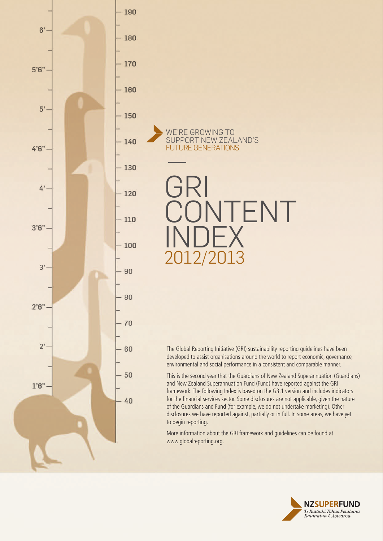

We'RE GROWING TO SUPPORT New Zealand'S FUTURE GENERATIONS

GRI TENT **INDEX** 2012/2013

The Global Reporting Initiative (GRI) sustainability reporting guidelines have been developed to assist organisations around the world to report economic, governance, environmental and social performance in a consistent and comparable manner.

This is the second year that the Guardians of New Zealand Superannuation (Guardians) and New Zealand Superannuation Fund (Fund) have reported against the GRI framework. The following Index is based on the G3.1 version and includes indicators for the financial services sector. Some disclosures are not applicable, given the nature of the Guardians and Fund (for example, we do not undertake marketing). Other disclosures we have reported against, partially or in full. In some areas, we have yet to begin reporting.

More information about the GRI framework and guidelines can be found at www.globalreporting.org.

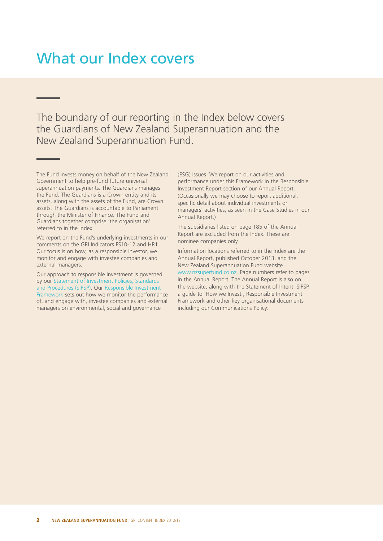#### What our Index covers

The boundary of our reporting in the Index below covers the Guardians of New Zealand Superannuation and the New Zealand Superannuation Fund.

The Fund invests money on behalf of the New Zealand Government to help pre-fund future universal superannuation payments. The Guardians manages the Fund. The Guardians is a Crown entity and its assets, along with the assets of the Fund, are Crown assets. The Guardians is accountable to Parliament through the Minister of Finance. The Fund and Guardians together comprise 'the organisation' referred to in the Index.

We report on the Fund's underlying investments in our comments on the GRI Indicators FS10-12 and HR1. Our focus is on how, as a responsible investor, we monitor and engage with investee companies and external managers.

Our approach to responsible investment is governed by our Statement of Investment Policies, Standards and Procedures (SIPSP). Our Responsible Investment Framework sets out how we monitor the performance of, and engage with, investee companies and external managers on environmental, social and governance

(ESG) issues. We report on our activities and performance under this Framework in the Responsible Investment Report section of our Annual Report. (Occasionally we may choose to report additional, specific detail about individual investments or managers' activities, as seen in the Case Studies in our Annual Report.)

The subsidiaries listed on page 185 of the Annual Report are excluded from the Index. These are nominee companies only.

Information locations referred to in the Index are the Annual Report, published October 2013, and the New Zealand Superannuation Fund website www.nzsuperfund.co.nz. Page numbers refer to pages in the Annual Report. The Annual Report is also on the website, along with the Statement of Intent, SIPSP, a guide to 'How we Invest', Responsible Investment Framework and other key organisational documents including our Communications Policy.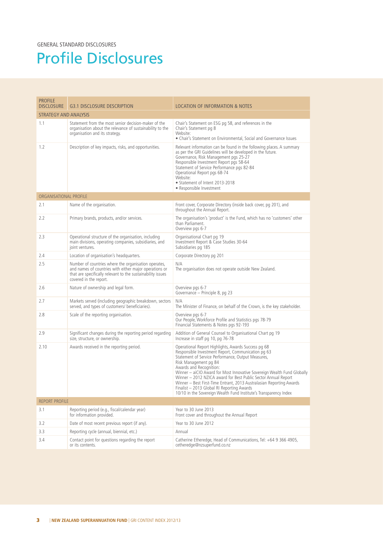# Profile Disclosures

| <b>PROFILE</b><br><b>DISCLOSURE</b> | <b>G3.1 DISCLOSURE DESCRIPTION</b>                                                                                                                                                                      | <b>LOCATION OF INFORMATION &amp; NOTES</b>                                                                                                                                                                                                                                                                                                                                                                                                                                                                                                                  |
|-------------------------------------|---------------------------------------------------------------------------------------------------------------------------------------------------------------------------------------------------------|-------------------------------------------------------------------------------------------------------------------------------------------------------------------------------------------------------------------------------------------------------------------------------------------------------------------------------------------------------------------------------------------------------------------------------------------------------------------------------------------------------------------------------------------------------------|
| <b>STRATEGY AND ANALYSIS</b>        |                                                                                                                                                                                                         |                                                                                                                                                                                                                                                                                                                                                                                                                                                                                                                                                             |
| 1.1                                 | Statement from the most senior decision-maker of the<br>organisation about the relevance of sustainability to the<br>organisation and its strategy.                                                     | Chair's Statement on ESG pg 58, and references in the<br>Chair's Statement pg 8<br>Website:<br>• Chair's Statement on Environmental, Social and Governance Issues                                                                                                                                                                                                                                                                                                                                                                                           |
| 1.2                                 | Description of key impacts, risks, and opportunities.                                                                                                                                                   | Relevant information can be found in the following places. A summary<br>as per the GRI Guidelines will be developed in the future.<br>Governance, Risk Management pgs 25-27<br>Responsible Investment Report pgs 58-64<br>Statement of Service Performance pgs 82-84<br>Operational Report pgs 68-74<br>Website:<br>• Statement of Intent 2013-2018<br>• Responsible Investment                                                                                                                                                                             |
| ORGANISATIONAL PROFILE              |                                                                                                                                                                                                         |                                                                                                                                                                                                                                                                                                                                                                                                                                                                                                                                                             |
| 2.1                                 | Name of the organisation.                                                                                                                                                                               | Front cover, Corporate Directory (inside back cover, pg 201), and<br>throughout the Annual Report.                                                                                                                                                                                                                                                                                                                                                                                                                                                          |
| 2.2                                 | Primary brands, products, and/or services.                                                                                                                                                              | The organisation's 'product' is the Fund, which has no 'customers' other<br>than Parliament.<br>Overview pgs 6-7                                                                                                                                                                                                                                                                                                                                                                                                                                            |
| 2.3                                 | Operational structure of the organisation, including<br>main divisions, operating companies, subsidiaries, and<br>joint ventures.                                                                       | Organisational Chart pg 19<br>Investment Report & Case Studies 30-64<br>Subsidiaries pg 185                                                                                                                                                                                                                                                                                                                                                                                                                                                                 |
| 2.4                                 | Location of organisation's headquarters.                                                                                                                                                                | Corporate Directory pg 201                                                                                                                                                                                                                                                                                                                                                                                                                                                                                                                                  |
| 2.5                                 | Number of countries where the organisation operates,<br>and names of countries with either major operations or<br>that are specifically relevant to the sustainability issues<br>covered in the report. | N/A<br>The organisation does not operate outside New Zealand.                                                                                                                                                                                                                                                                                                                                                                                                                                                                                               |
| 2.6                                 | Nature of ownership and legal form.                                                                                                                                                                     | Overview pgs 6-7<br>Governance – Principle 8, pg 23                                                                                                                                                                                                                                                                                                                                                                                                                                                                                                         |
| 2.7                                 | Markets served (including geographic breakdown, sectors<br>served, and types of customers/ beneficiaries).                                                                                              | N/A<br>The Minister of Finance, on behalf of the Crown, is the key stakeholder.                                                                                                                                                                                                                                                                                                                                                                                                                                                                             |
| 2.8                                 | Scale of the reporting organisation.                                                                                                                                                                    | Overview pgs 6-7<br>Our People, Workforce Profile and Statistics pgs 78-79<br>Financial Statements & Notes pgs 92-193                                                                                                                                                                                                                                                                                                                                                                                                                                       |
| 2.9                                 | Significant changes during the reporting period regarding<br>size, structure, or ownership.                                                                                                             | Addition of General Counsel to Organisational Chart pg 19<br>Increase in staff pg 10, pg 76-78                                                                                                                                                                                                                                                                                                                                                                                                                                                              |
| 2.10                                | Awards received in the reporting period.                                                                                                                                                                | Operational Report Highlights, Awards Success pg 68<br>Responsible Investment Report, Communication pg 63<br>Statement of Service Performance, Output Measures,<br>Risk Management pg 84<br>Awards and Recognition:<br>Winner – aiCIO Award for Most Innovative Sovereign Wealth Fund Globally<br>Winner - 2012 NZICA award for Best Public Sector Annual Report<br>Winner - Best First-Time Entrant, 2013 Australasian Reporting Awards<br>Finalist - 2013 Global RI Reporting Awards<br>10/10 in the Sovereign Wealth Fund Institute's Transparency Index |
| <b>REPORT PROFILE</b>               |                                                                                                                                                                                                         |                                                                                                                                                                                                                                                                                                                                                                                                                                                                                                                                                             |
| 3.1                                 | Reporting period (e.g., fiscal/calendar year)<br>for information provided.                                                                                                                              | Year to 30 June 2013<br>Front cover and throughout the Annual Report                                                                                                                                                                                                                                                                                                                                                                                                                                                                                        |
| 3.2                                 | Date of most recent previous report (if any).                                                                                                                                                           | Year to 30 June 2012                                                                                                                                                                                                                                                                                                                                                                                                                                                                                                                                        |
| 3.3                                 | Reporting cycle (annual, biennial, etc.)                                                                                                                                                                | Annual                                                                                                                                                                                                                                                                                                                                                                                                                                                                                                                                                      |
| 3.4                                 | Contact point for questions regarding the report<br>or its contents.                                                                                                                                    | Catherine Etheredge, Head of Communications, Tel: +64 9 366 4905,<br>cetheredge@nzsuperfund.co.nz                                                                                                                                                                                                                                                                                                                                                                                                                                                           |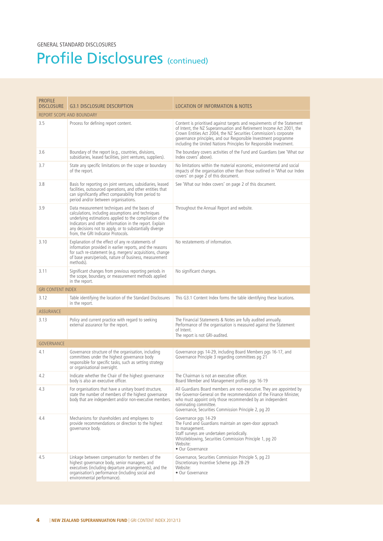#### Profile Disclosures (continued)

| <b>PROFILE</b>            |                                                                                                                                                                                                                                                                                                                            |                                                                                                                                                                                                                                                                                                                                                                 |
|---------------------------|----------------------------------------------------------------------------------------------------------------------------------------------------------------------------------------------------------------------------------------------------------------------------------------------------------------------------|-----------------------------------------------------------------------------------------------------------------------------------------------------------------------------------------------------------------------------------------------------------------------------------------------------------------------------------------------------------------|
| <b>DISCLOSURE</b>         | G3.1 DISCLOSURE DESCRIPTION                                                                                                                                                                                                                                                                                                | <b>LOCATION OF INFORMATION &amp; NOTES</b>                                                                                                                                                                                                                                                                                                                      |
| REPORT SCOPE AND BOUNDARY |                                                                                                                                                                                                                                                                                                                            |                                                                                                                                                                                                                                                                                                                                                                 |
| 3.5                       | Process for defining report content.                                                                                                                                                                                                                                                                                       | Content is prioritised against targets and requirements of the Statement<br>of Intent, the NZ Superannuation and Retirement Income Act 2001, the<br>Crown Entities Act 2004, the NZ Securities Commission's corporate<br>governance principles, and our Responsible Investment programme<br>including the United Nations Principles for Responsible Investment. |
| 3.6                       | Boundary of the report (e.g., countries, divisions,<br>subsidiaries, leased facilities, joint ventures, suppliers).                                                                                                                                                                                                        | The boundary covers activities of the Fund and Guardians (see 'What our<br>Index covers' above).                                                                                                                                                                                                                                                                |
| 3.7                       | State any specific limitations on the scope or boundary<br>of the report.                                                                                                                                                                                                                                                  | No limitations within the material economic, environmental and social<br>impacts of the organisation other than those outlined in 'What our Index<br>covers' on page 2 of this document.                                                                                                                                                                        |
| 3.8                       | Basis for reporting on joint ventures, subsidiaries, leased<br>facilities, outsourced operations, and other entities that<br>can significantly affect comparability from period to<br>period and/or between organisations.                                                                                                 | See 'What our Index covers' on page 2 of this document.                                                                                                                                                                                                                                                                                                         |
| 3.9                       | Data measurement techniques and the bases of<br>calculations, including assumptions and techniques<br>underlying estimations applied to the compilation of the<br>Indicators and other information in the report. Explain<br>any decisions not to apply, or to substantially diverge<br>from, the GRI Indicator Protocols. | Throughout the Annual Report and website.                                                                                                                                                                                                                                                                                                                       |
| 3.10                      | Explanation of the effect of any re-statements of<br>information provided in earlier reports, and the reasons<br>for such re-statement (e.g. mergers/ acquisitions, change<br>of base years/periods, nature of business, measurement<br>methods).                                                                          | No restatements of information.                                                                                                                                                                                                                                                                                                                                 |
| 3.11                      | Significant changes from previous reporting periods in<br>the scope, boundary, or measurement methods applied<br>in the report.                                                                                                                                                                                            | No significant changes.                                                                                                                                                                                                                                                                                                                                         |
| <b>GRI CONTENT INDEX</b>  |                                                                                                                                                                                                                                                                                                                            |                                                                                                                                                                                                                                                                                                                                                                 |
| 3.12                      | Table identifying the location of the Standard Disclosures<br>in the report.                                                                                                                                                                                                                                               | This G3.1 Content Index forms the table identifying these locations.                                                                                                                                                                                                                                                                                            |
| <b>ASSURANCE</b>          |                                                                                                                                                                                                                                                                                                                            |                                                                                                                                                                                                                                                                                                                                                                 |
| 3.13                      | Policy and current practice with regard to seeking<br>external assurance for the report.                                                                                                                                                                                                                                   | The Financial Statements & Notes are fully audited annually.<br>Performance of the organisation is measured against the Statement<br>of Intent.<br>The report is not GRI-audited.                                                                                                                                                                               |
| <b>GOVERNANCE</b>         |                                                                                                                                                                                                                                                                                                                            |                                                                                                                                                                                                                                                                                                                                                                 |
| 4.1                       | Governance structure of the organisation, including<br>committees under the highest governance body<br>responsible for specific tasks, such as setting strategy<br>or organisational oversight.                                                                                                                            | Governance pgs 14-29, including Board Members pgs 16-17, and<br>Governance Principle 3 regarding committees pg 21                                                                                                                                                                                                                                               |
| 4.2                       | Indicate whether the Chair of the highest governance<br>body is also an executive officer.                                                                                                                                                                                                                                 | The Chairman is not an executive officer.<br>Board Member and Management profiles pgs 16-19                                                                                                                                                                                                                                                                     |
| 4.3                       | For organisations that have a unitary board structure,<br>state the number of members of the highest governance<br>body that are independent and/or non-executive members.                                                                                                                                                 | All Guardians Board members are non-executive. They are appointed by<br>the Governor-General on the recommendation of the Finance Minister,<br>who must appoint only those recommended by an independent<br>nominating committee.<br>Governance, Securities Commission Principle 2, pg 20                                                                       |
| 4.4                       | Mechanisms for shareholders and employees to<br>provide recommendations or direction to the highest<br>governance body.                                                                                                                                                                                                    | Governance pgs 14-29<br>The Fund and Guardians maintain an open-door approach<br>to management.<br>Staff surveys are undertaken periodically.<br>Whistleblowing, Securities Commission Principle 1, pg 20<br>Website:<br>• Our Governance                                                                                                                       |
| 4.5                       | Linkage between compensation for members of the<br>highest governance body, senior managers, and<br>executives (including departure arrangements), and the<br>organisation's performance (including social and<br>environmental performance).                                                                              | Governance, Securities Commission Principle 5, pg 23<br>Discretionary Incentive Scheme pgs 28-29<br>Website:<br>• Our Governance                                                                                                                                                                                                                                |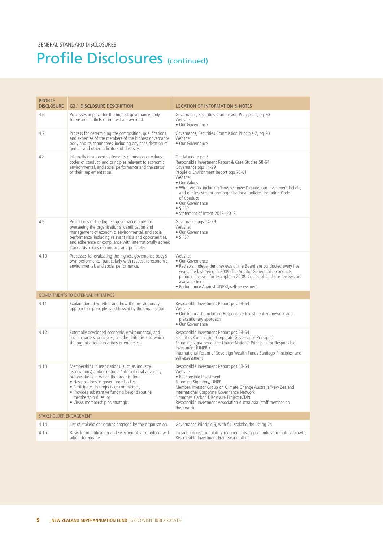#### Profile Disclosures (continued)

| <b>PROFILE</b><br><b>DISCLOSURE</b> | <b>G3.1 DISCLOSURE DESCRIPTION</b>                                                                                                                                                                                                                                                                                                                  | <b>LOCATION OF INFORMATION &amp; NOTES</b>                                                                                                                                                                                                                                                                                                                                                              |
|-------------------------------------|-----------------------------------------------------------------------------------------------------------------------------------------------------------------------------------------------------------------------------------------------------------------------------------------------------------------------------------------------------|---------------------------------------------------------------------------------------------------------------------------------------------------------------------------------------------------------------------------------------------------------------------------------------------------------------------------------------------------------------------------------------------------------|
| 4.6                                 | Processes in place for the highest governance body<br>to ensure conflicts of interest are avoided.                                                                                                                                                                                                                                                  | Governance, Securities Commission Principle 1, pg 20<br>Website:<br>• Our Governance                                                                                                                                                                                                                                                                                                                    |
| 4.7                                 | Process for determining the composition, qualifications,<br>and expertise of the members of the highest governance<br>body and its committees, including any consideration of<br>gender and other indicators of diversity.                                                                                                                          | Governance, Securities Commission Principle 2, pg 20<br>Website:<br>• Our Governance                                                                                                                                                                                                                                                                                                                    |
| 4.8                                 | Internally developed statements of mission or values,<br>codes of conduct, and principles relevant to economic,<br>environmental, and social performance and the status<br>of their implementation.                                                                                                                                                 | Our Mandate pg 7<br>Responsible Investment Report & Case Studies 58-64<br>Governance pgs 14-29<br>People & Environment Report pgs 76-81<br>Website:<br>• Our Values<br>. What we do, including 'How we invest' guide; our investment beliefs;<br>and our investment and organisational policies, including Code<br>of Conduct<br>• Our Governance<br>$\bullet$ SIPSP<br>• Statement of Intent 2013-2018 |
| 4.9                                 | Procedures of the highest governance body for<br>overseeing the organisation's identification and<br>management of economic, environmental, and social<br>performance, including relevant risks and opportunities,<br>and adherence or compliance with internationally agreed<br>standards, codes of conduct, and principles.                       | Governance pgs 14-29<br>Website:<br>• Our Governance<br>• SIPSP                                                                                                                                                                                                                                                                                                                                         |
| 4.10                                | Processes for evaluating the highest governance body's<br>own performance, particularly with respect to economic,<br>environmental, and social performance.                                                                                                                                                                                         | Website:<br>• Our Governance<br>• Reviews: Independent reviews of the Board are conducted every five<br>years, the last being in 2009. The Auditor-General also conducts<br>periodic reviews, for example in 2008. Copies of all these reviews are<br>available here.<br>· Performance Against UNPRI, self-assessment                                                                                   |
|                                     | <b>COMMITMENTS TO EXTERNAL INITIATIVES</b>                                                                                                                                                                                                                                                                                                          |                                                                                                                                                                                                                                                                                                                                                                                                         |
| 4.11                                | Explanation of whether and how the precautionary<br>approach or principle is addressed by the organisation.                                                                                                                                                                                                                                         | Responsible Investment Report pgs 58-64<br>Website:<br>. Our Approach, including Responsible Investment Framework and<br>precautionary approach<br>• Our Governance                                                                                                                                                                                                                                     |
| 4.12                                | Externally developed economic, environmental, and<br>social charters, principles, or other initiatives to which<br>the organisation subscribes or endorses.                                                                                                                                                                                         | Responsible Investment Report pgs 58-64<br>Securities Commission Corporate Governance Principles<br>Founding signatory of the United Nations' Principles for Responsible<br>Investment (UNPRI)<br>International Forum of Sovereign Wealth Funds Santiago Principles, and<br>self-assessment                                                                                                             |
| 4.13                                | Memberships in associations (such as industry<br>associations) and/or national/international advocacy<br>organisations in which the organisation:<br>• Has positions in governance bodies;<br>• Participates in projects or committees;<br>• Provides substantive funding beyond routine<br>membership dues; or<br>· Views membership as strategic. | Responsible Investment Report pgs 58-64<br>Website:<br>• Responsible Investment<br>Founding Signatory, UNPRI<br>Member, Investor Group on Climate Change Australia/New Zealand<br>International Corporate Governance Network<br>Signatory, Carbon Disclosure Project (CDP)<br>Responsible Investment Association Australasia (staff member on<br>the Board)                                             |
| STAKEHOLDER ENGAGEMENT              |                                                                                                                                                                                                                                                                                                                                                     |                                                                                                                                                                                                                                                                                                                                                                                                         |
| 4.14                                | List of stakeholder groups engaged by the organisation.                                                                                                                                                                                                                                                                                             | Governance Principle 9, with full stakeholder list pg 24                                                                                                                                                                                                                                                                                                                                                |
| 4.15                                | Basis for identification and selection of stakeholders with<br>whom to engage.                                                                                                                                                                                                                                                                      | Impact, interest, regulatory requirements, opportunities for mutual growth,<br>Responsible Investment Framework, other.                                                                                                                                                                                                                                                                                 |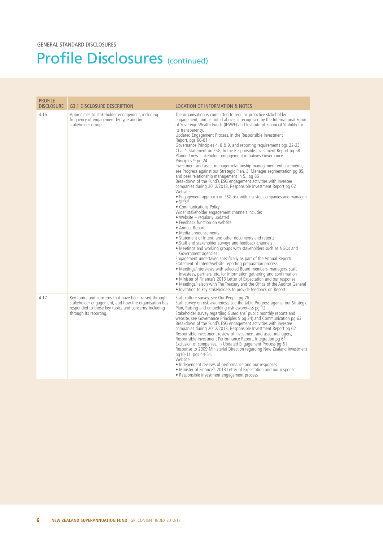#### Profile Disclosures (continued)

| <b>PROFILE</b><br><b>DISCLOSURE</b> | <b>G3.1 DISCLOSURE DESCRIPTION</b>                                                                                                                                                               | <b>LOCATION OF INFORMATION &amp; NOTES</b>                                                                                                                                                                                                                                                                                                                                                                                                                                                                                                                                                                                                                                                                                                                                                                                                                                                                                                                                                                                                                                                                                                                                                                                                                                                                                                                                                                                                                                                                                                                                                                                                                                                                                                                                                                                                                                                                                             |
|-------------------------------------|--------------------------------------------------------------------------------------------------------------------------------------------------------------------------------------------------|----------------------------------------------------------------------------------------------------------------------------------------------------------------------------------------------------------------------------------------------------------------------------------------------------------------------------------------------------------------------------------------------------------------------------------------------------------------------------------------------------------------------------------------------------------------------------------------------------------------------------------------------------------------------------------------------------------------------------------------------------------------------------------------------------------------------------------------------------------------------------------------------------------------------------------------------------------------------------------------------------------------------------------------------------------------------------------------------------------------------------------------------------------------------------------------------------------------------------------------------------------------------------------------------------------------------------------------------------------------------------------------------------------------------------------------------------------------------------------------------------------------------------------------------------------------------------------------------------------------------------------------------------------------------------------------------------------------------------------------------------------------------------------------------------------------------------------------------------------------------------------------------------------------------------------------|
| 4.16                                | Approaches to stakeholder engagement, including<br>frequency of engagement by type and by<br>stakeholder group.                                                                                  | The organisation is committed to regular, proactive stakeholder<br>engagement, and as noted above, is recognised by the International Forum<br>of Sovereign Wealth Funds (IFSWF) and Institute of Financial Stability for<br>its transparency.<br>Updated Engagement Process, in the Responsible Investment<br>Report, pgs 60-61<br>Governance Principles 4, 8 & 9, and reporting requirements pgs 22-23<br>Chair's Statement on ESG, In the Responsible Investment Report pg 58<br>Planned new stakeholder engagement initiatives Governance<br>Principles 9 pg 24<br>Investment and asset manager relationship management enhancements,<br>see Progress against our Strategic Plan, 3. Manager segmentation pg 85;<br>and peer relationship management in 5., pg 86<br>Breakdown of the Fund's ESG engagement activities with investee<br>companies during 2012/2013, Responsible Investment Report pg 62<br>Website:<br>• Engagement approach on ESG risk with investee companies and managers<br>$\bullet$ SIPSP<br>• Communications Policy<br>Wider stakeholder engagement channels include:<br>• Website – regularly updated<br>• Feedback function on website<br>• Annual Report<br>· Media announcements<br>• Statement of Intent, and other documents and reports<br>• Staff and stakeholder surveys and feedback channels<br>• Meetings and working groups with stakeholders such as NGOs and<br>Government agencies<br>Engagement undertaken specifically as part of the Annual Report/<br>Statement of Intent/website reporting preparation process:<br>• Meetings/interviews with selected Board members, managers, staff,<br>investees, partners, etc. for information gathering and confirmation<br>• Minister of Finance's 2013 Letter of Expectation and our response<br>• Meetings/liaison with The Treasury and the Office of the Auditor General<br>• Invitation to key stakeholders to provide feedback on Report |
| 4.17                                | Key topics and concerns that have been raised through<br>stakeholder engagement, and how the organisation has<br>responded to those key topics and concerns, including<br>through its reporting. | Staff culture survey, see Our People pg 76<br>Staff survey on risk awareness, see the table Progress against our Strategic<br>Plan, Raising and embedding risk awareness pg 12<br>Stakeholder survey regarding Guardians' public monthly reports and<br>website, see Governance Principles 9 pg 24; and Communication pg 63<br>Breakdown of the Fund's ESG engagement activities with investee<br>companies during 2012/2013, Responsible Investment Report pg 62<br>Responsible investment review of investment and asset managers,<br>Responsible Investment Performance Report, Integration pg 61<br>Exclusion of companies, in Updated Engagement Process pg 61<br>Response to 2009 Ministerial Direction regarding New Zealand investment<br>pg10-11, pgs 44-51.<br>Website:<br>• Independent reviews of performance and our responses<br>• Minister of Finance's 2013 Letter of Expectation and our response<br>• Responsible investment engagement process                                                                                                                                                                                                                                                                                                                                                                                                                                                                                                                                                                                                                                                                                                                                                                                                                                                                                                                                                                      |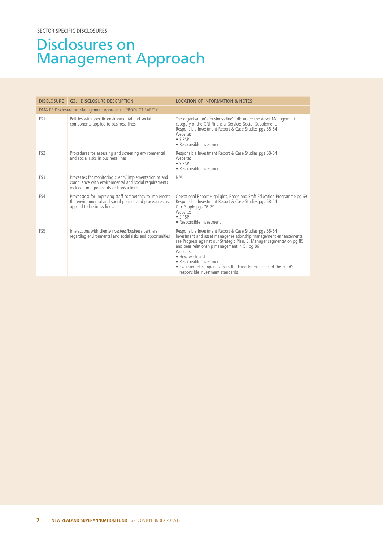#### Disclosures on Management Approach

| <b>DISCLOSURE</b> | <b>G3.1 DISCLOSURE DESCRIPTION</b>                                                                                                                          | <b>LOCATION OF INFORMATION &amp; NOTES</b>                                                                                                                                                                                                                                                                                                                                                                                               |
|-------------------|-------------------------------------------------------------------------------------------------------------------------------------------------------------|------------------------------------------------------------------------------------------------------------------------------------------------------------------------------------------------------------------------------------------------------------------------------------------------------------------------------------------------------------------------------------------------------------------------------------------|
|                   | DMA PS Disclosure on Management Approach - PRODUCT SAFETY                                                                                                   |                                                                                                                                                                                                                                                                                                                                                                                                                                          |
| FS <sub>1</sub>   | Policies with specific environmental and social<br>components applied to business lines.                                                                    | The organisation's 'business line' falls under the Asset Management<br>category of the GRI Financial Services Sector Supplement.<br>Responsible Investment Report & Case Studies pgs 58-64<br>Website <sup>®</sup><br>$\bullet$ SIPSP<br>• Responsible Investment                                                                                                                                                                        |
| FS <sub>2</sub>   | Procedures for assessing and screening environmental<br>and social risks in business lines                                                                  | Responsible Investment Report & Case Studies pgs 58-64<br>Website:<br>$\bullet$ SIPSP<br>• Responsible Investment                                                                                                                                                                                                                                                                                                                        |
| FS3               | Processes for monitoring clients' implementation of and<br>compliance with environmental and social requirements<br>included in agreements or transactions. | N/A                                                                                                                                                                                                                                                                                                                                                                                                                                      |
| FS4               | Process(es) for improving staff competency to implement<br>the environmental and social policies and procedures as<br>applied to business lines.            | Operational Report Highlights, Board and Staff Education Programme pg 69<br>Responsible Investment Report & Case Studies pgs 58-64<br>Our People pgs 76-79<br>Website:<br>$\bullet$ SIPSP<br>• Responsible Investment                                                                                                                                                                                                                    |
| FS <sub>5</sub>   | Interactions with clients/investees/business partners<br>regarding environmental and social risks and opportunities.                                        | Responsible Investment Report & Case Studies pgs 58-64<br>Investment and asset manager relationship management enhancements,<br>see Progress against our Strategic Plan, 3. Manager segmentation pg 85;<br>and peer relationship management in 5., pg 86<br>Website <sup>®</sup><br>· How we Invest<br>• Responsible Investment<br>. Exclusion of companies from the Fund for breaches of the Fund's<br>responsible investment standards |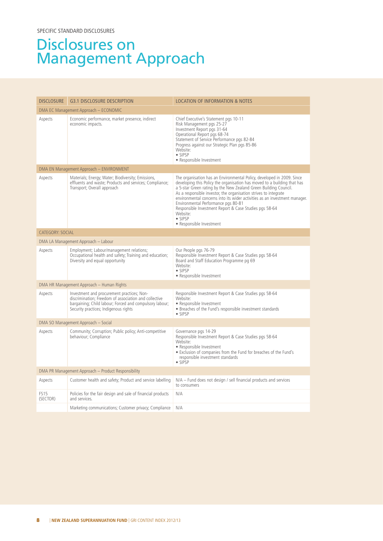#### Disclosures on Management Approach

| <b>DISCLOSURE</b>       | <b>G3.1 DISCLOSURE DESCRIPTION</b>                                                                                                                                                                      | LOCATION OF INFORMATION & NOTES                                                                                                                                                                                                                                                                                                                                                                                                                                                                                                      |
|-------------------------|---------------------------------------------------------------------------------------------------------------------------------------------------------------------------------------------------------|--------------------------------------------------------------------------------------------------------------------------------------------------------------------------------------------------------------------------------------------------------------------------------------------------------------------------------------------------------------------------------------------------------------------------------------------------------------------------------------------------------------------------------------|
|                         | DMA EC Management Approach - ECONOMIC                                                                                                                                                                   |                                                                                                                                                                                                                                                                                                                                                                                                                                                                                                                                      |
| Aspects                 | Economic performance, market presence, indirect<br>economic impacts.                                                                                                                                    | Chief Executive's Statement pgs 10-11<br>Risk Management pgs 25-27<br>Investment Report pgs 31-64<br>Operational Report pgs 68-74<br>Statement of Service Performance pgs 82-84<br>Progress against our Strategic Plan pgs 85-86<br>Website:<br>$\bullet$ SIPSP<br>• Responsible Investment                                                                                                                                                                                                                                          |
|                         | DMA EN Management Approach - ENVIRONMENT                                                                                                                                                                |                                                                                                                                                                                                                                                                                                                                                                                                                                                                                                                                      |
| Aspects                 | Materials; Energy; Water; Biodiversity; Emissions,<br>effluents and waste; Products and services; Compliance;<br>Transport; Overall approach                                                            | The organisation has an Environmental Policy, developed in 2009. Since<br>developing this Policy the organisation has moved to a building that has<br>a 5-star Green rating by the New Zealand Green Building Council.<br>As a responsible investor, the organisation strives to integrate<br>environmental concerns into its wider activities as an investment manager.<br>Environmental Performance pgs 80-81<br>Responsible Investment Report & Case Studies pgs 58-64<br>Website:<br>$\bullet$ SIPSP<br>• Responsible Investment |
| CATEGORY: SOCIAL        |                                                                                                                                                                                                         |                                                                                                                                                                                                                                                                                                                                                                                                                                                                                                                                      |
|                         | DMA LA Management Approach - Labour                                                                                                                                                                     |                                                                                                                                                                                                                                                                                                                                                                                                                                                                                                                                      |
| Aspects                 | Employment; Labour/management relations;<br>Occupational health and safety; Training and education;<br>Diversity and equal opportunity                                                                  | Our People pgs 76-79<br>Responsible Investment Report & Case Studies pgs 58-64<br>Board and Staff Education Programme pg 69<br>Website:<br>$\bullet$ SIPSP<br>• Responsible Investment                                                                                                                                                                                                                                                                                                                                               |
|                         | DMA HR Management Approach - Human Rights                                                                                                                                                               |                                                                                                                                                                                                                                                                                                                                                                                                                                                                                                                                      |
| Aspects                 | Investment and procurement practices; Non-<br>discrimination; Freedom of association and collective<br>bargaining; Child labour; Forced and compulsory labour;<br>Security practices; Indigenous rights | Responsible Investment Report & Case Studies pgs 58-64<br>Website:<br>• Responsible Investment<br>• Breaches of the Fund's responsible investment standards<br>• SIPSP                                                                                                                                                                                                                                                                                                                                                               |
|                         | DMA SO Management Approach - Social                                                                                                                                                                     |                                                                                                                                                                                                                                                                                                                                                                                                                                                                                                                                      |
| Aspects                 | Community; Corruption; Public policy; Anti-competitive<br>behaviour; Compliance                                                                                                                         | Governance pgs 14-29<br>Responsible Investment Report & Case Studies pgs 58-64<br>Website:<br>• Responsible Investment<br>• Exclusion of companies from the Fund for breaches of the Fund's<br>responsible investment standards<br>$\bullet$ SIPSP                                                                                                                                                                                                                                                                                   |
|                         | DMA PR Management Approach – Product Responsibility                                                                                                                                                     |                                                                                                                                                                                                                                                                                                                                                                                                                                                                                                                                      |
| Aspects                 | Customer health and safety; Product and service labelling                                                                                                                                               | N/A - Fund does not design / sell financial products and services<br>to consumers                                                                                                                                                                                                                                                                                                                                                                                                                                                    |
| <b>FS15</b><br>(SECTOR) | Policies for the fair design and sale of financial products<br>and services.                                                                                                                            | N/A                                                                                                                                                                                                                                                                                                                                                                                                                                                                                                                                  |
|                         | Marketing communications; Customer privacy; Compliance                                                                                                                                                  | N/A                                                                                                                                                                                                                                                                                                                                                                                                                                                                                                                                  |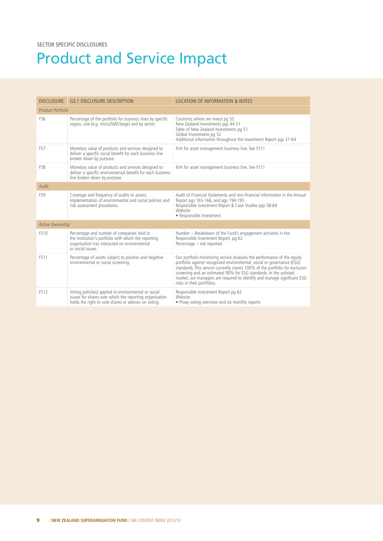# Product and Service Impact

| <b>DISCLOSURE</b> | G3.1 DISCLOSURE DESCRIPTION                                                                                                                                             | <b>LOCATION OF INFORMATION &amp; NOTES</b>                                                                                                                                                                                                                                                                                                                                                                       |
|-------------------|-------------------------------------------------------------------------------------------------------------------------------------------------------------------------|------------------------------------------------------------------------------------------------------------------------------------------------------------------------------------------------------------------------------------------------------------------------------------------------------------------------------------------------------------------------------------------------------------------|
| Product Portfolio |                                                                                                                                                                         |                                                                                                                                                                                                                                                                                                                                                                                                                  |
| FS <sub>6</sub>   | Percentage of the portfolio for business lines by specific<br>region, size (e.g. micro/SME/large) and by sector.                                                        | Countries where we invest pg 53<br>New Zealand Investments pgs 44-51<br>Table of New Zealand Investments pg 51<br>Global Investments pg 52<br>Additional information throughout the Investment Report pgs 31-64                                                                                                                                                                                                  |
| FS7               | Monetary value of products and services designed to<br>deliver a specific social benefit for each business line<br>broken down by purpose.                              | N/A for asset management business line. See FS11                                                                                                                                                                                                                                                                                                                                                                 |
| FS8               | Monetary value of products and services designed to<br>deliver a specific environmental benefit for each business<br>line broken down by purpose.                       | N/A for asset management business line. See FS11                                                                                                                                                                                                                                                                                                                                                                 |
| Audit             |                                                                                                                                                                         |                                                                                                                                                                                                                                                                                                                                                                                                                  |
| FS9               | Coverage and frequency of audits to assess<br>implementation of environmental and social policies and<br>risk assessment procedures.                                    | Audit of Financial Statements and non-financial information in the Annual<br>Report pgs 165-166, and pgs 194-195<br>Responsible Investment Report & Case Studies pgs 58-64<br>Website:<br>• Responsible Investment                                                                                                                                                                                               |
| Active Ownership  |                                                                                                                                                                         |                                                                                                                                                                                                                                                                                                                                                                                                                  |
| <b>FS10</b>       | Percentage and number of companies held in<br>the institution's portfolio with which the reporting<br>organisation has interacted on environmental<br>or social issues. | Number - Breakdown of the Fund's engagement activities in the<br>Responsible Investment Report, pg 62<br>Percentage - not reported.                                                                                                                                                                                                                                                                              |
| <b>FS11</b>       | Percentage of assets subject to positive and negative<br>environmental or social screening.                                                                             | Our portfolio monitoring service analyses the performance of the equity<br>portfolio against recognised environmental, social or governance (ESG)<br>standards. This service currently covers 100% of the portfolio for exclusion<br>screening and an estimated 90% for ESG standards. In the unlisted<br>market, our managers are required to identify and manage significant ESG<br>risks in their portfolios. |
| <b>FS12</b>       | Voting polic(ies) applied to environmental or social<br>issues for shares over which the reporting organisation<br>holds the right to vote shares or advises on voting. | Responsible Investment Report pg 62<br>Website <sup>.</sup><br>• Proxy voting overview and six monthly reports                                                                                                                                                                                                                                                                                                   |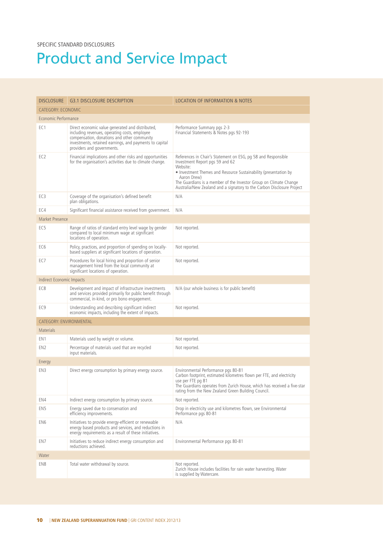# Product and Service Impact

| <b>DISCLOSURE</b>                | <b>G3.1 DISCLOSURE DESCRIPTION</b>                                                                                                                                                                                                        | <b>LOCATION OF INFORMATION &amp; NOTES</b>                                                                                                                                                                                                                                                                                                     |
|----------------------------------|-------------------------------------------------------------------------------------------------------------------------------------------------------------------------------------------------------------------------------------------|------------------------------------------------------------------------------------------------------------------------------------------------------------------------------------------------------------------------------------------------------------------------------------------------------------------------------------------------|
| <b>CATEGORY: ECONOMIC</b>        |                                                                                                                                                                                                                                           |                                                                                                                                                                                                                                                                                                                                                |
| Economic Performance             |                                                                                                                                                                                                                                           |                                                                                                                                                                                                                                                                                                                                                |
| EC <sub>1</sub>                  | Direct economic value generated and distributed,<br>including revenues, operating costs, employee<br>compensation, donations and other community<br>investments, retained earnings, and payments to capital<br>providers and governments. | Performance Summary pgs 2-3<br>Financial Statements & Notes pgs 92-193                                                                                                                                                                                                                                                                         |
| EC <sub>2</sub>                  | Financial implications and other risks and opportunities<br>for the organisation's activities due to climate change.                                                                                                                      | References in Chair's Statement on ESG, pg 58 and Responsible<br>Investment Report pgs 59 and 62<br>Website:<br>• Investment Themes and Resource Sustainability (presentation by<br>Aaron Drew)<br>The Guardians is a member of the Investor Group on Climate Change<br>Australia/New Zealand and a signatory to the Carbon Disclosure Project |
| EC <sub>3</sub>                  | Coverage of the organisation's defined benefit<br>plan obligations.                                                                                                                                                                       | N/A                                                                                                                                                                                                                                                                                                                                            |
| EC4                              | Significant financial assistance received from government.                                                                                                                                                                                | N/A                                                                                                                                                                                                                                                                                                                                            |
| Market Presence                  |                                                                                                                                                                                                                                           |                                                                                                                                                                                                                                                                                                                                                |
| EC <sub>5</sub>                  | Range of ratios of standard entry level wage by gender<br>compared to local minimum wage at significant<br>locations of operation.                                                                                                        | Not reported.                                                                                                                                                                                                                                                                                                                                  |
| EC <sub>6</sub>                  | Policy, practices, and proportion of spending on locally-<br>based suppliers at significant locations of operation.                                                                                                                       | Not reported.                                                                                                                                                                                                                                                                                                                                  |
| EC7                              | Procedures for local hiring and proportion of senior<br>management hired from the local community at<br>significant locations of operation.                                                                                               | Not reported.                                                                                                                                                                                                                                                                                                                                  |
| <b>Indirect Economic Impacts</b> |                                                                                                                                                                                                                                           |                                                                                                                                                                                                                                                                                                                                                |
| EC8                              | Development and impact of infrastructure investments<br>and services provided primarily for public benefit through<br>commercial, in-kind, or pro bono engagement.                                                                        | N/A (our whole business is for public benefit)                                                                                                                                                                                                                                                                                                 |
| EC <sub>9</sub>                  | Understanding and describing significant indirect<br>economic impacts, including the extent of impacts.                                                                                                                                   | Not reported.                                                                                                                                                                                                                                                                                                                                  |
| <b>CATEGORY: ENVIRONMENTAL</b>   |                                                                                                                                                                                                                                           |                                                                                                                                                                                                                                                                                                                                                |
| <b>Materials</b>                 |                                                                                                                                                                                                                                           |                                                                                                                                                                                                                                                                                                                                                |
| EN <sub>1</sub>                  | Materials used by weight or volume.                                                                                                                                                                                                       | Not reported.                                                                                                                                                                                                                                                                                                                                  |
| EN <sub>2</sub>                  | Percentage of materials used that are recycled<br>input materials.                                                                                                                                                                        | Not reported.                                                                                                                                                                                                                                                                                                                                  |
| Energy                           |                                                                                                                                                                                                                                           |                                                                                                                                                                                                                                                                                                                                                |
| EN3                              | Direct energy consumption by primary energy source.                                                                                                                                                                                       | Environmental Performance pgs 80-81<br>Carbon footprint, estimated kilometres flown per FTE, and electricity<br>use per FTE pg 81<br>The Guardians operates from Zurich House, which has received a five-star<br>rating from the New Zealand Green Building Council.                                                                           |
| EN4                              | Indirect energy consumption by primary source.                                                                                                                                                                                            | Not reported.                                                                                                                                                                                                                                                                                                                                  |
| EN <sub>5</sub>                  | Energy saved due to conservation and<br>efficiency improvements.                                                                                                                                                                          | Drop in electricity use and kilometres flown, see Environmental<br>Performance pgs 80-81                                                                                                                                                                                                                                                       |
| EN6                              | Initiatives to provide energy-efficient or renewable<br>energy based products and services, and reductions in<br>energy requirements as a result of these initiatives.                                                                    | N/A                                                                                                                                                                                                                                                                                                                                            |
| EN7                              | Initiatives to reduce indirect energy consumption and<br>reductions achieved.                                                                                                                                                             | Environmental Performance pgs 80-81                                                                                                                                                                                                                                                                                                            |
| Water                            |                                                                                                                                                                                                                                           |                                                                                                                                                                                                                                                                                                                                                |
| EN8                              | Total water withdrawal by source.                                                                                                                                                                                                         | Not reported.<br>Zurich House includes facilities for rain water harvesting. Water<br>is supplied by Watercare.                                                                                                                                                                                                                                |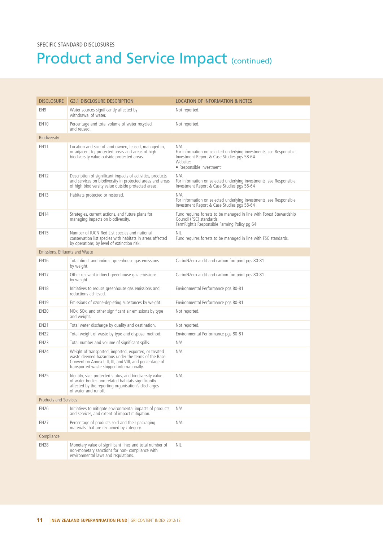| <b>DISCLOSURE</b>              | <b>G3.1 DISCLOSURE DESCRIPTION</b>                                                                                                                                                                                     | <b>LOCATION OF INFORMATION &amp; NOTES</b>                                                                                                                       |
|--------------------------------|------------------------------------------------------------------------------------------------------------------------------------------------------------------------------------------------------------------------|------------------------------------------------------------------------------------------------------------------------------------------------------------------|
| EN <sub>9</sub>                | Water sources significantly affected by<br>withdrawal of water.                                                                                                                                                        | Not reported.                                                                                                                                                    |
| <b>EN10</b>                    | Percentage and total volume of water recycled<br>and reused.                                                                                                                                                           | Not reported.                                                                                                                                                    |
| Biodiversity                   |                                                                                                                                                                                                                        |                                                                                                                                                                  |
| <b>EN11</b>                    | Location and size of land owned, leased, managed in,<br>or adjacent to, protected areas and areas of high<br>biodiversity value outside protected areas.                                                               | N/A<br>For information on selected underlying investments, see Responsible<br>Investment Report & Case Studies pgs 58-64<br>Website:<br>• Responsible Investment |
| <b>EN12</b>                    | Description of significant impacts of activities, products,<br>and services on biodiversity in protected areas and areas<br>of high biodiversity value outside protected areas.                                        | N/A<br>For information on selected underlying investments, see Responsible<br>Investment Report & Case Studies pgs 58-64                                         |
| <b>EN13</b>                    | Habitats protected or restored.                                                                                                                                                                                        | N/A<br>For information on selected underlying investments, see Responsible<br>Investment Report & Case Studies pgs 58-64                                         |
| <b>EN14</b>                    | Strategies, current actions, and future plans for<br>managing impacts on biodiversity.                                                                                                                                 | Fund requires forests to be managed in line with Forest Stewardship<br>Council (FSC) standards.<br>FarmRight's Responsible Farming Policy pg 64                  |
| EN <sub>15</sub>               | Number of IUCN Red List species and national<br>conservation list species with habitats in areas affected<br>by operations, by level of extinction risk.                                                               | NIL<br>Fund requires forests to be managed in line with FSC standards.                                                                                           |
| Emissions, Effluents and Waste |                                                                                                                                                                                                                        |                                                                                                                                                                  |
| <b>EN16</b>                    | Total direct and indirect greenhouse gas emissions<br>by weight.                                                                                                                                                       | CarboNZero audit and carbon footprint pgs 80-81                                                                                                                  |
| <b>EN17</b>                    | Other relevant indirect greenhouse gas emissions<br>by weight.                                                                                                                                                         | CarboNZero audit and carbon footprint pgs 80-81                                                                                                                  |
| <b>EN18</b>                    | Initiatives to reduce greenhouse gas emissions and<br>reductions achieved.                                                                                                                                             | Environmental Performance pgs 80-81                                                                                                                              |
| <b>EN19</b>                    | Emissions of ozone-depleting substances by weight.                                                                                                                                                                     | Environmental Performance pgs 80-81                                                                                                                              |
| EN <sub>20</sub>               | NOx, SOx, and other significant air emissions by type<br>and weight.                                                                                                                                                   | Not reported.                                                                                                                                                    |
| <b>EN21</b>                    | Total water discharge by quality and destination.                                                                                                                                                                      | Not reported.                                                                                                                                                    |
| <b>EN22</b>                    | Total weight of waste by type and disposal method.                                                                                                                                                                     | Environmental Performance pgs 80-81                                                                                                                              |
| <b>EN23</b>                    | Total number and volume of significant spills.                                                                                                                                                                         | N/A                                                                                                                                                              |
| <b>EN24</b>                    | Weight of transported, imported, exported, or treated<br>waste deemed hazardous under the terms of the Basel<br>Convention Annex I, II, III, and VIII, and percentage of<br>transported waste shipped internationally. | N/A                                                                                                                                                              |
| <b>EN25</b>                    | Identity, size, protected status, and biodiversity value<br>of water bodies and related habitats significantly<br>affected by the reporting organisation's discharges<br>of water and runoff.                          | N/A                                                                                                                                                              |
| <b>Products and Services</b>   |                                                                                                                                                                                                                        |                                                                                                                                                                  |
| <b>EN26</b>                    | Initiatives to mitigate environmental impacts of products<br>and services, and extent of impact mitigation.                                                                                                            | N/A                                                                                                                                                              |
| <b>EN27</b>                    | Percentage of products sold and their packaging<br>materials that are reclaimed by category.                                                                                                                           | N/A                                                                                                                                                              |
| Compliance                     |                                                                                                                                                                                                                        |                                                                                                                                                                  |
| <b>EN28</b>                    | Monetary value of significant fines and total number of<br>non-monetary sanctions for non-compliance with<br>environmental laws and regulations.                                                                       | <b>NIL</b>                                                                                                                                                       |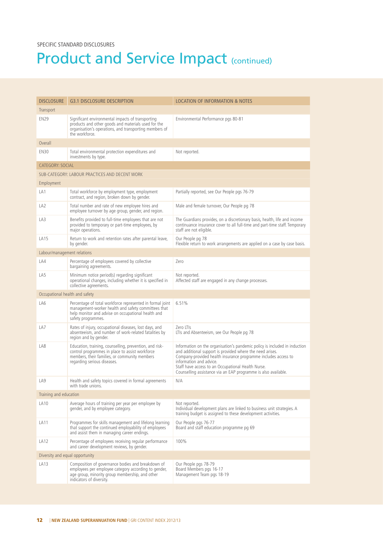| <b>DISCLOSURE</b>               | <b>G3.1 DISCLOSURE DESCRIPTION</b>                                                                                                                                                           | <b>LOCATION OF INFORMATION &amp; NOTES</b>                                                                                                                                                                                                                                                                                                                   |
|---------------------------------|----------------------------------------------------------------------------------------------------------------------------------------------------------------------------------------------|--------------------------------------------------------------------------------------------------------------------------------------------------------------------------------------------------------------------------------------------------------------------------------------------------------------------------------------------------------------|
| Transport                       |                                                                                                                                                                                              |                                                                                                                                                                                                                                                                                                                                                              |
| <b>EN29</b>                     | Significant environmental impacts of transporting<br>products and other goods and materials used for the<br>organisation's operations, and transporting members of<br>the workforce.         | Environmental Performance pgs 80-81                                                                                                                                                                                                                                                                                                                          |
| Overall                         |                                                                                                                                                                                              |                                                                                                                                                                                                                                                                                                                                                              |
| <b>EN30</b>                     | Total environmental protection expenditures and<br>investments by type.                                                                                                                      | Not reported.                                                                                                                                                                                                                                                                                                                                                |
| <b>CATEGORY: SOCIAL</b>         |                                                                                                                                                                                              |                                                                                                                                                                                                                                                                                                                                                              |
|                                 | SUB-CATEGORY: LABOUR PRACTICES AND DECENT WORK                                                                                                                                               |                                                                                                                                                                                                                                                                                                                                                              |
| Employment                      |                                                                                                                                                                                              |                                                                                                                                                                                                                                                                                                                                                              |
| LA1                             | Total workforce by employment type, employment<br>contract, and region, broken down by gender.                                                                                               | Partially reported, see Our People pgs 76-79                                                                                                                                                                                                                                                                                                                 |
| LA <sub>2</sub>                 | Total number and rate of new employee hires and<br>employee turnover by age group, gender, and region.                                                                                       | Male and female turnover, Our People pg 78                                                                                                                                                                                                                                                                                                                   |
| LA3                             | Benefits provided to full-time employees that are not<br>provided to temporary or part-time employees, by<br>major operations.                                                               | The Guardians provides, on a discretionary basis, health, life and income<br>continuance insurance cover to all full-time and part-time staff. Temporary<br>staff are not eligible.                                                                                                                                                                          |
| LA15                            | Return to work and retention rates after parental leave,<br>by gender.                                                                                                                       | Our People pg 78<br>Flexible return to work arrangements are applied on a case by case basis.                                                                                                                                                                                                                                                                |
| Labour/management relations     |                                                                                                                                                                                              |                                                                                                                                                                                                                                                                                                                                                              |
| LA4                             | Percentage of employees covered by collective<br>bargaining agreements.                                                                                                                      | Zero                                                                                                                                                                                                                                                                                                                                                         |
| LA5                             | Minimum notice period(s) regarding significant<br>operational changes, including whether it is specified in<br>collective agreements.                                                        | Not reported.<br>Affected staff are engaged in any change processes.                                                                                                                                                                                                                                                                                         |
| Occupational health and safety  |                                                                                                                                                                                              |                                                                                                                                                                                                                                                                                                                                                              |
| LA6                             | Percentage of total workforce represented in formal joint<br>management-worker health and safety committees that<br>help monitor and advise on occupational health and<br>safety programmes. | 6.51%                                                                                                                                                                                                                                                                                                                                                        |
| LA7                             | Rates of injury, occupational diseases, lost days, and<br>absenteeism, and number of work-related fatalities by<br>region and by gender.                                                     | Zero LTIs<br>LTIs and Absenteeism, see Our People pg 78                                                                                                                                                                                                                                                                                                      |
| LA8                             | Education, training, counselling, prevention, and risk-<br>control programmes in place to assist workforce<br>members, their families, or community members<br>regarding serious diseases.   | Information on the organisation's pandemic policy is included in induction<br>and additional support is provided where the need arises.<br>Company-provided health insurance programme includes access to<br>information and advice.<br>Staff have access to an Occupational Health Nurse.<br>Counselling assistance via an EAP programme is also available. |
| LA <sub>9</sub>                 | Health and safety topics covered in formal agreements<br>with trade unions.                                                                                                                  | N/A                                                                                                                                                                                                                                                                                                                                                          |
| Training and education          |                                                                                                                                                                                              |                                                                                                                                                                                                                                                                                                                                                              |
| LA10                            | Average hours of training per year per employee by<br>gender, and by employee category.                                                                                                      | Not reported.<br>Individual development plans are linked to business unit strategies. A<br>training budget is assigned to these development activities.                                                                                                                                                                                                      |
| LA11                            | Programmes for skills management and lifelong learning<br>that support the continued employability of employees<br>and assist them in managing career endings.                               | Our People pgs 76-77<br>Board and staff education programme pg 69                                                                                                                                                                                                                                                                                            |
| LA <sub>12</sub>                | Percentage of employees receiving regular performance<br>and career development reviews, by gender.                                                                                          | 100%                                                                                                                                                                                                                                                                                                                                                         |
| Diversity and equal opportunity |                                                                                                                                                                                              |                                                                                                                                                                                                                                                                                                                                                              |
| LA13                            | Composition of governance bodies and breakdown of<br>employees per employee category according to gender,<br>age group, minority group membership, and other<br>indicators of diversity.     | Our People pgs 78-79<br>Board Members pgs 16-17<br>Management Team pgs 18-19                                                                                                                                                                                                                                                                                 |
|                                 |                                                                                                                                                                                              |                                                                                                                                                                                                                                                                                                                                                              |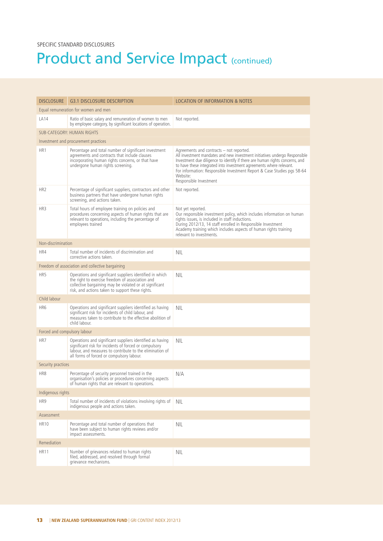| <b>DISCLOSURE</b>                    | <b>G3.1 DISCLOSURE DESCRIPTION</b>                                                                                                                                                                                           | <b>LOCATION OF INFORMATION &amp; NOTES</b>                                                                                                                                                                                                                                                                                                                                                     |
|--------------------------------------|------------------------------------------------------------------------------------------------------------------------------------------------------------------------------------------------------------------------------|------------------------------------------------------------------------------------------------------------------------------------------------------------------------------------------------------------------------------------------------------------------------------------------------------------------------------------------------------------------------------------------------|
| Equal remuneration for women and men |                                                                                                                                                                                                                              |                                                                                                                                                                                                                                                                                                                                                                                                |
| LA14                                 | Ratio of basic salary and remuneration of women to men<br>by employee category, by significant locations of operation.                                                                                                       | Not reported.                                                                                                                                                                                                                                                                                                                                                                                  |
|                                      | <b>SUB-CATEGORY: HUMAN RIGHTS</b>                                                                                                                                                                                            |                                                                                                                                                                                                                                                                                                                                                                                                |
|                                      | Investment and procurement practices                                                                                                                                                                                         |                                                                                                                                                                                                                                                                                                                                                                                                |
| HR <sub>1</sub>                      | Percentage and total number of significant investment<br>agreements and contracts that include clauses<br>incorporating human rights concerns, or that have<br>undergone human rights screening.                             | Agreements and contracts – not reported.<br>All investment mandates and new investment initiatives undergo Responsible<br>Investment due diligence to identify if there are human rights concerns, and<br>to have these integrated into investment agreements where relevant.<br>For information: Responsible Investment Report & Case Studies pgs 58-64<br>Website:<br>Responsible Investment |
| HR <sub>2</sub>                      | Percentage of significant suppliers, contractors and other<br>business partners that have undergone human rights<br>screening, and actions taken.                                                                            | Not reported.                                                                                                                                                                                                                                                                                                                                                                                  |
| HR <sub>3</sub>                      | Total hours of employee training on policies and<br>procedures concerning aspects of human rights that are<br>relevant to operations, including the percentage of<br>employees trained                                       | Not yet reported.<br>Our responsible investment policy, which includes information on human<br>rights issues, is included in staff inductions.<br>During 2012/13, 14 staff enrolled in Responsible Investment<br>Academy training which includes aspects of human rights training<br>relevant to investments.                                                                                  |
| Non-discrimination                   |                                                                                                                                                                                                                              |                                                                                                                                                                                                                                                                                                                                                                                                |
| HR4                                  | Total number of incidents of discrimination and<br>corrective actions taken.                                                                                                                                                 | <b>NIL</b>                                                                                                                                                                                                                                                                                                                                                                                     |
|                                      | Freedom of association and collective bargaining                                                                                                                                                                             |                                                                                                                                                                                                                                                                                                                                                                                                |
| HR <sub>5</sub>                      | Operations and significant suppliers identified in which<br>the right to exercise freedom of association and<br>collective bargaining may be violated or at significant<br>risk, and actions taken to support these rights.  | <b>NIL</b>                                                                                                                                                                                                                                                                                                                                                                                     |
| Child labour                         |                                                                                                                                                                                                                              |                                                                                                                                                                                                                                                                                                                                                                                                |
| HR <sub>6</sub>                      | Operations and significant suppliers identified as having<br>significant risk for incidents of child labour, and<br>measures taken to contribute to the effective abolition of<br>child labour.                              | <b>NIL</b>                                                                                                                                                                                                                                                                                                                                                                                     |
| Forced and compulsory labour         |                                                                                                                                                                                                                              |                                                                                                                                                                                                                                                                                                                                                                                                |
| HR7                                  | Operations and significant suppliers identified as having<br>significant risk for incidents of forced or compulsory<br>labour, and measures to contribute to the elimination of<br>all forms of forced or compulsory labour. | <b>NIL</b>                                                                                                                                                                                                                                                                                                                                                                                     |
| Security practices                   |                                                                                                                                                                                                                              |                                                                                                                                                                                                                                                                                                                                                                                                |
| HR8                                  | Percentage of security personnel trained in the<br>organisation's policies or procedures concerning aspects<br>of human rights that are relevant to operations.                                                              | N/A                                                                                                                                                                                                                                                                                                                                                                                            |
| Indigenous rights                    |                                                                                                                                                                                                                              |                                                                                                                                                                                                                                                                                                                                                                                                |
| HR9                                  | Total number of incidents of violations involving rights of<br>indigenous people and actions taken.                                                                                                                          | NIL                                                                                                                                                                                                                                                                                                                                                                                            |
| Assessment                           |                                                                                                                                                                                                                              |                                                                                                                                                                                                                                                                                                                                                                                                |
| <b>HR10</b>                          | Percentage and total number of operations that<br>have been subject to human rights reviews and/or<br>impact assessments.                                                                                                    | <b>NIL</b>                                                                                                                                                                                                                                                                                                                                                                                     |
| Remediation                          |                                                                                                                                                                                                                              |                                                                                                                                                                                                                                                                                                                                                                                                |
| <b>HR11</b>                          | Number of grievances related to human rights<br>filed, addressed, and resolved through formal<br>grievance mechanisms.                                                                                                       | <b>NIL</b>                                                                                                                                                                                                                                                                                                                                                                                     |
|                                      |                                                                                                                                                                                                                              |                                                                                                                                                                                                                                                                                                                                                                                                |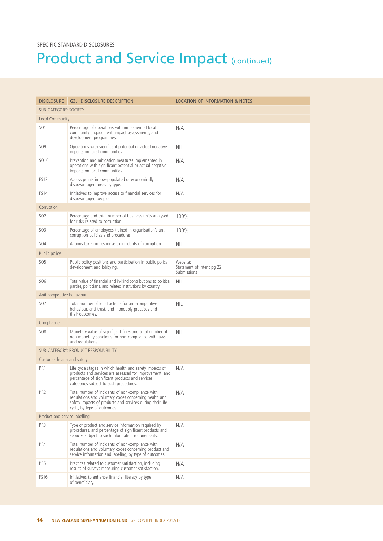| <b>DISCLOSURE</b>             | <b>G3.1 DISCLOSURE DESCRIPTION</b>                                                                                                                                                                              | <b>LOCATION OF INFORMATION &amp; NOTES</b>           |
|-------------------------------|-----------------------------------------------------------------------------------------------------------------------------------------------------------------------------------------------------------------|------------------------------------------------------|
| <b>SUB-CATEGORY: SOCIETY</b>  |                                                                                                                                                                                                                 |                                                      |
| Local Community               |                                                                                                                                                                                                                 |                                                      |
| SO <sub>1</sub>               | Percentage of operations with implemented local<br>community engagement, impact assessments, and<br>development programmes.                                                                                     | N/A                                                  |
| <b>SO9</b>                    | Operations with significant potential or actual negative<br>impacts on local communities.                                                                                                                       | NIL                                                  |
| SO <sub>10</sub>              | Prevention and mitigation measures implemented in<br>operations with significant potential or actual negative<br>impacts on local communities.                                                                  | N/A                                                  |
| FS <sub>13</sub>              | Access points in low-populated or economically<br>disadvantaged areas by type.                                                                                                                                  | N/A                                                  |
| <b>FS14</b>                   | Initiatives to improve access to financial services for<br>disadvantaged people.                                                                                                                                | N/A                                                  |
| Corruption                    |                                                                                                                                                                                                                 |                                                      |
| SO <sub>2</sub>               | Percentage and total number of business units analysed<br>for risks related to corruption.                                                                                                                      | 100%                                                 |
| <b>SO3</b>                    | Percentage of employees trained in organisation's anti-<br>corruption policies and procedures.                                                                                                                  | 100%                                                 |
| SO4                           | Actions taken in response to incidents of corruption.                                                                                                                                                           | <b>NIL</b>                                           |
| Public policy                 |                                                                                                                                                                                                                 |                                                      |
| <b>SO5</b>                    | Public policy positions and participation in public policy<br>development and lobbying.                                                                                                                         | Website:<br>Statement of Intent pg 22<br>Submissions |
| <b>SO6</b>                    | Total value of financial and in-kind contributions to political<br>parties, politicians, and related institutions by country.                                                                                   | <b>NIL</b>                                           |
| Anti-competitive behaviour    |                                                                                                                                                                                                                 |                                                      |
| SO <sub>7</sub>               | Total number of legal actions for anti-competitive<br>behaviour, anti-trust, and monopoly practices and<br>their outcomes.                                                                                      | <b>NIL</b>                                           |
| Compliance                    |                                                                                                                                                                                                                 |                                                      |
| <b>SO8</b>                    | Monetary value of significant fines and total number of<br>non-monetary sanctions for non-compliance with laws<br>and regulations.                                                                              | NIL                                                  |
|                               | SUB-CATEGORY: PRODUCT RESPONSIBILITY                                                                                                                                                                            |                                                      |
| Customer health and safety    |                                                                                                                                                                                                                 |                                                      |
| PR <sub>1</sub>               | Life cycle stages in which health and safety impacts of<br>products and services are assessed for improvement, and<br>percentage of significant products and services<br>categories subject to such procedures. | N/A                                                  |
| PR <sub>2</sub>               | Total number of incidents of non-compliance with<br>regulations and voluntary codes concerning health and<br>safety impacts of products and services during their life<br>cycle, by type of outcomes.           | N/A                                                  |
| Product and service labelling |                                                                                                                                                                                                                 |                                                      |
| PR3                           | Type of product and service information required by<br>procedures, and percentage of significant products and<br>services subject to such information requirements.                                             | N/A                                                  |
| PR4                           | Total number of incidents of non-compliance with<br>regulations and voluntary codes concerning product and<br>service information and labeling, by type of outcomes.                                            | N/A                                                  |
| PR <sub>5</sub>               | Practices related to customer satisfaction, including<br>results of surveys measuring customer satisfaction.                                                                                                    | N/A                                                  |
| FS <sub>16</sub>              | Initiatives to enhance financial literacy by type<br>of beneficiary.                                                                                                                                            | N/A                                                  |
|                               |                                                                                                                                                                                                                 |                                                      |